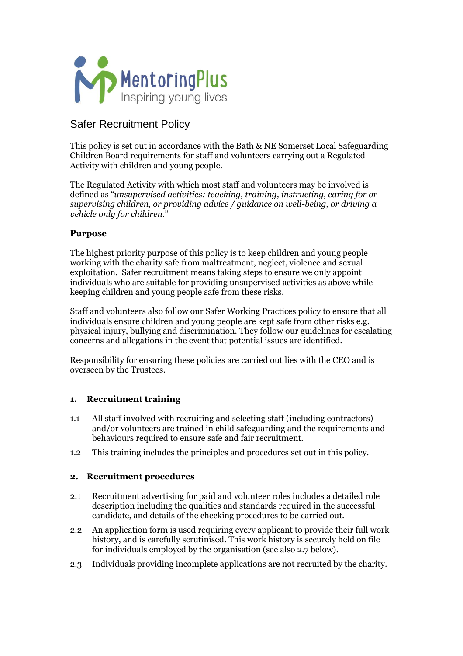

# Safer Recruitment Policy

This policy is set out in accordance with the Bath & NE Somerset Local Safeguarding Children Board requirements for staff and volunteers carrying out a Regulated Activity with children and young people.

The Regulated Activity with which most staff and volunteers may be involved is defined as "*unsupervised activities: teaching, training, instructing, caring for or supervising children, or providing advice / guidance on well-being, or driving a vehicle only for children*."

## **Purpose**

The highest priority purpose of this policy is to keep children and young people working with the charity safe from maltreatment, neglect, violence and sexual exploitation. Safer recruitment means taking steps to ensure we only appoint individuals who are suitable for providing unsupervised activities as above while keeping children and young people safe from these risks.

Staff and volunteers also follow our Safer Working Practices policy to ensure that all individuals ensure children and young people are kept safe from other risks e.g. physical injury, bullying and discrimination. They follow our guidelines for escalating concerns and allegations in the event that potential issues are identified.

Responsibility for ensuring these policies are carried out lies with the CEO and is overseen by the Trustees.

# **1. Recruitment training**

- 1.1 All staff involved with recruiting and selecting staff (including contractors) and/or volunteers are trained in child safeguarding and the requirements and behaviours required to ensure safe and fair recruitment.
- 1.2 This training includes the principles and procedures set out in this policy.

# **2. Recruitment procedures**

- 2.1 Recruitment advertising for paid and volunteer roles includes a detailed role description including the qualities and standards required in the successful candidate, and details of the checking procedures to be carried out.
- 2.2 An application form is used requiring every applicant to provide their full work history, and is carefully scrutinised. This work history is securely held on file for individuals employed by the organisation (see also 2.7 below).
- 2.3 Individuals providing incomplete applications are not recruited by the charity.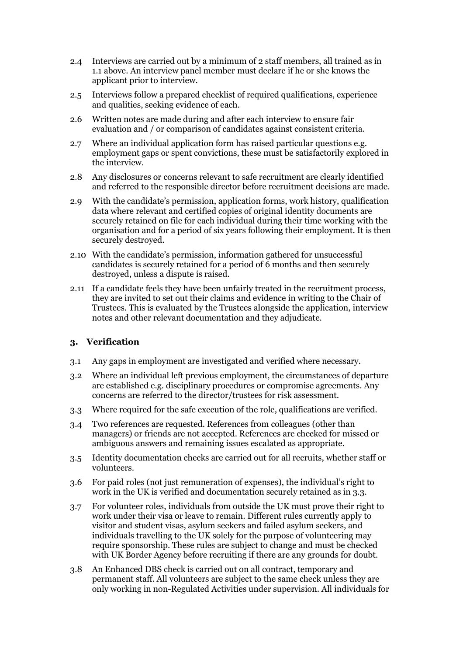- 2.4 Interviews are carried out by a minimum of 2 staff members, all trained as in 1.1 above. An interview panel member must declare if he or she knows the applicant prior to interview.
- 2.5 Interviews follow a prepared checklist of required qualifications, experience and qualities, seeking evidence of each.
- 2.6 Written notes are made during and after each interview to ensure fair evaluation and / or comparison of candidates against consistent criteria.
- 2.7 Where an individual application form has raised particular questions e.g. employment gaps or spent convictions, these must be satisfactorily explored in the interview.
- 2.8 Any disclosures or concerns relevant to safe recruitment are clearly identified and referred to the responsible director before recruitment decisions are made.
- 2.9 With the candidate's permission, application forms, work history, qualification data where relevant and certified copies of original identity documents are securely retained on file for each individual during their time working with the organisation and for a period of six years following their employment. It is then securely destroyed.
- 2.10 With the candidate's permission, information gathered for unsuccessful candidates is securely retained for a period of 6 months and then securely destroyed, unless a dispute is raised.
- 2.11 If a candidate feels they have been unfairly treated in the recruitment process, they are invited to set out their claims and evidence in writing to the Chair of Trustees. This is evaluated by the Trustees alongside the application, interview notes and other relevant documentation and they adjudicate.

## **3. Verification**

- 3.1 Any gaps in employment are investigated and verified where necessary.
- 3.2 Where an individual left previous employment, the circumstances of departure are established e.g. disciplinary procedures or compromise agreements. Any concerns are referred to the director/trustees for risk assessment.
- 3.3 Where required for the safe execution of the role, qualifications are verified.
- 3.4 Two references are requested. References from colleagues (other than managers) or friends are not accepted. References are checked for missed or ambiguous answers and remaining issues escalated as appropriate.
- 3.5 Identity documentation checks are carried out for all recruits, whether staff or volunteers.
- 3.6 For paid roles (not just remuneration of expenses), the individual's right to work in the UK is verified and documentation securely retained as in 3.3.
- 3.7 For volunteer roles, individuals from outside the UK must prove their right to work under their visa or leave to remain. Different rules currently apply to visitor and student visas, asylum seekers and failed asylum seekers, and individuals travelling to the UK solely for the purpose of volunteering may require sponsorship. These rules are subject to change and must be checked with UK Border Agency before recruiting if there are any grounds for doubt.
- 3.8 An Enhanced DBS check is carried out on all contract, temporary and permanent staff. All volunteers are subject to the same check unless they are only working in non-Regulated Activities under supervision. All individuals for